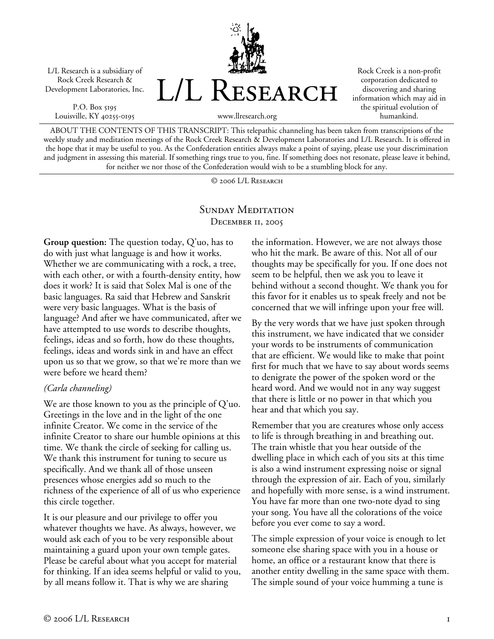L/L Research is a subsidiary of Rock Creek Research & Development Laboratories, Inc.

P.O. Box 5195 Louisville, KY 40255-0195



Rock Creek is a non-profit corporation dedicated to discovering and sharing information which may aid in the spiritual evolution of humankind.

ABOUT THE CONTENTS OF THIS TRANSCRIPT: This telepathic channeling has been taken from transcriptions of the weekly study and meditation meetings of the Rock Creek Research & Development Laboratories and L/L Research. It is offered in the hope that it may be useful to you. As the Confederation entities always make a point of saying, please use your discrimination and judgment in assessing this material. If something rings true to you, fine. If something does not resonate, please leave it behind, for neither we nor those of the Confederation would wish to be a stumbling block for any.

© 2006 L/L Research

## SUNDAY MEDITATION DECEMBER II, 2005

**Group question:** The question today, Q'uo, has to do with just what language is and how it works. Whether we are communicating with a rock, a tree, with each other, or with a fourth-density entity, how does it work? It is said that Solex Mal is one of the basic languages. Ra said that Hebrew and Sanskrit were very basic languages. What is the basis of language? And after we have communicated, after we have attempted to use words to describe thoughts, feelings, ideas and so forth, how do these thoughts, feelings, ideas and words sink in and have an effect upon us so that we grow, so that we're more than we were before we heard them?

## *(Carla channeling)*

We are those known to you as the principle of Q'uo. Greetings in the love and in the light of the one infinite Creator. We come in the service of the infinite Creator to share our humble opinions at this time. We thank the circle of seeking for calling us. We thank this instrument for tuning to secure us specifically. And we thank all of those unseen presences whose energies add so much to the richness of the experience of all of us who experience this circle together.

It is our pleasure and our privilege to offer you whatever thoughts we have. As always, however, we would ask each of you to be very responsible about maintaining a guard upon your own temple gates. Please be careful about what you accept for material for thinking. If an idea seems helpful or valid to you, by all means follow it. That is why we are sharing

the information. However, we are not always those who hit the mark. Be aware of this. Not all of our thoughts may be specifically for you. If one does not seem to be helpful, then we ask you to leave it behind without a second thought. We thank you for this favor for it enables us to speak freely and not be concerned that we will infringe upon your free will.

By the very words that we have just spoken through this instrument, we have indicated that we consider your words to be instruments of communication that are efficient. We would like to make that point first for much that we have to say about words seems to denigrate the power of the spoken word or the heard word. And we would not in any way suggest that there is little or no power in that which you hear and that which you say.

Remember that you are creatures whose only access to life is through breathing in and breathing out. The train whistle that you hear outside of the dwelling place in which each of you sits at this time is also a wind instrument expressing noise or signal through the expression of air. Each of you, similarly and hopefully with more sense, is a wind instrument. You have far more than one two-note dyad to sing your song. You have all the colorations of the voice before you ever come to say a word.

The simple expression of your voice is enough to let someone else sharing space with you in a house or home, an office or a restaurant know that there is another entity dwelling in the same space with them. The simple sound of your voice humming a tune is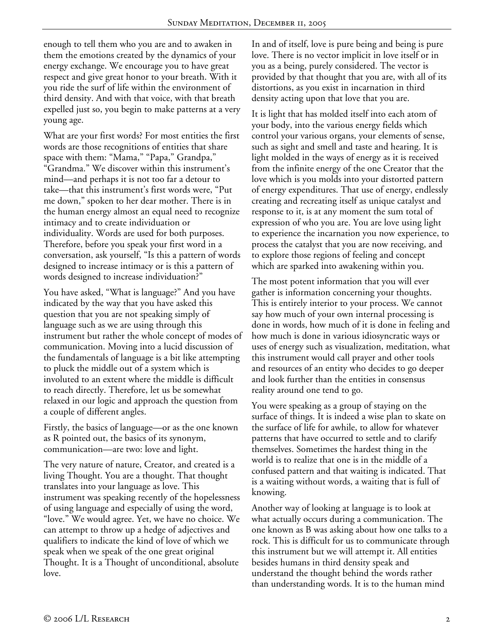enough to tell them who you are and to awaken in them the emotions created by the dynamics of your energy exchange. We encourage you to have great respect and give great honor to your breath. With it you ride the surf of life within the environment of third density. And with that voice, with that breath expelled just so, you begin to make patterns at a very young age.

What are your first words? For most entities the first words are those recognitions of entities that share space with them: "Mama," "Papa," Grandpa," "Grandma." We discover within this instrument's mind—and perhaps it is not too far a detour to take—that this instrument's first words were, "Put me down," spoken to her dear mother. There is in the human energy almost an equal need to recognize intimacy and to create individuation or individuality. Words are used for both purposes. Therefore, before you speak your first word in a conversation, ask yourself, "Is this a pattern of words designed to increase intimacy or is this a pattern of words designed to increase individuation?"

You have asked, "What is language?" And you have indicated by the way that you have asked this question that you are not speaking simply of language such as we are using through this instrument but rather the whole concept of modes of communication. Moving into a lucid discussion of the fundamentals of language is a bit like attempting to pluck the middle out of a system which is involuted to an extent where the middle is difficult to reach directly. Therefore, let us be somewhat relaxed in our logic and approach the question from a couple of different angles.

Firstly, the basics of language—or as the one known as R pointed out, the basics of its synonym, communication—are two: love and light.

The very nature of nature, Creator, and created is a living Thought. You are a thought. That thought translates into your language as love. This instrument was speaking recently of the hopelessness of using language and especially of using the word, "love." We would agree. Yet, we have no choice. We can attempt to throw up a hedge of adjectives and qualifiers to indicate the kind of love of which we speak when we speak of the one great original Thought. It is a Thought of unconditional, absolute love.

In and of itself, love is pure being and being is pure love. There is no vector implicit in love itself or in you as a being, purely considered. The vector is provided by that thought that you are, with all of its distortions, as you exist in incarnation in third density acting upon that love that you are.

It is light that has molded itself into each atom of your body, into the various energy fields which control your various organs, your elements of sense, such as sight and smell and taste and hearing. It is light molded in the ways of energy as it is received from the infinite energy of the one Creator that the love which is you molds into your distorted pattern of energy expenditures. That use of energy, endlessly creating and recreating itself as unique catalyst and response to it, is at any moment the sum total of expression of who you are. You are love using light to experience the incarnation you now experience, to process the catalyst that you are now receiving, and to explore those regions of feeling and concept which are sparked into awakening within you.

The most potent information that you will ever gather is information concerning your thoughts. This is entirely interior to your process. We cannot say how much of your own internal processing is done in words, how much of it is done in feeling and how much is done in various idiosyncratic ways or uses of energy such as visualization, meditation, what this instrument would call prayer and other tools and resources of an entity who decides to go deeper and look further than the entities in consensus reality around one tend to go.

You were speaking as a group of staying on the surface of things. It is indeed a wise plan to skate on the surface of life for awhile, to allow for whatever patterns that have occurred to settle and to clarify themselves. Sometimes the hardest thing in the world is to realize that one is in the middle of a confused pattern and that waiting is indicated. That is a waiting without words, a waiting that is full of knowing.

Another way of looking at language is to look at what actually occurs during a communication. The one known as B was asking about how one talks to a rock. This is difficult for us to communicate through this instrument but we will attempt it. All entities besides humans in third density speak and understand the thought behind the words rather than understanding words. It is to the human mind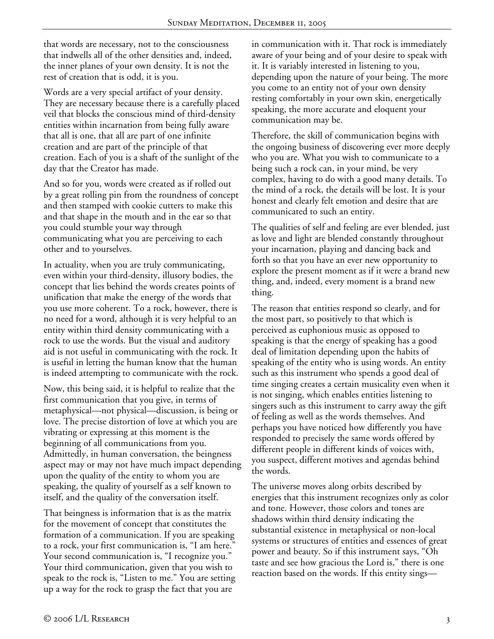that words are necessary, not to the consciousness that indwells all of the other densities and, indeed, the inner planes of your own density. It is not the rest of creation that is odd, it is you.

Words are a very special artifact of your density. They are necessary because there is a carefully placed veil that blocks the conscious mind of third-density entities within incarnation from being fully aware that all is one, that all are part of one infinite creation and are part of the principle of that creation. Each of you is a shaft of the sunlight of the day that the Creator has made.

And so for you, words were created as if rolled out by a great rolling pin from the roundness of concept and then stamped with cookie cutters to make this and that shape in the mouth and in the ear so that you could stumble your way through communicating what you are perceiving to each other and to yourselves.

In actuality, when you are truly communicating, even within your third-density, illusory bodies, the concept that lies behind the words creates points of unification that make the energy of the words that you use more coherent. To a rock, however, there is no need for a word, although it is very helpful to an entity within third density communicating with a rock to use the words. But the visual and auditory aid is not useful in communicating with the rock. It is useful in letting the human know that the human is indeed attempting to communicate with the rock.

Now, this being said, it is helpful to realize that the first communication that you give, in terms of metaphysical—not physical—discussion, is being or love. The precise distortion of love at which you are vibrating or expressing at this moment is the beginning of all communications from you. Admittedly, in human conversation, the beingness aspect may or may not have much impact depending upon the quality of the entity to whom you are speaking, the quality of yourself as a self known to itself, and the quality of the conversation itself.

That beingness is information that is as the matrix for the movement of concept that constitutes the formation of a communication. If you are speaking to a rock, your first communication is, "I am here." Your second communication is, "I recognize you." Your third communication, given that you wish to speak to the rock is, "Listen to me." You are setting up a way for the rock to grasp the fact that you are

in communication with it. That rock is immediately aware of your being and of your desire to speak with it. It is variably interested in listening to you, depending upon the nature of your being. The more you come to an entity not of your own density resting comfortably in your own skin, energetically speaking, the more accurate and eloquent your communication may be.

Therefore, the skill of communication begins with the ongoing business of discovering ever more deeply who you are. What you wish to communicate to a being such a rock can, in your mind, be very complex, having to do with a good many details. To the mind of a rock, the details will be lost. It is your honest and clearly felt emotion and desire that are communicated to such an entity.

The qualities of self and feeling are ever blended, just as love and light are blended constantly throughout your incarnation, playing and dancing back and forth so that you have an ever new opportunity to explore the present moment as if it were a brand new thing, and, indeed, every moment is a brand new thing.

The reason that entities respond so clearly, and for the most part, so positively to that which is perceived as euphonious music as opposed to speaking is that the energy of speaking has a good deal of limitation depending upon the habits of speaking of the entity who is using words. An entity such as this instrument who spends a good deal of time singing creates a certain musicality even when it is not singing, which enables entities listening to singers such as this instrument to carry away the gift of feeling as well as the words themselves. And perhaps you have noticed how differently you have responded to precisely the same words offered by different people in different kinds of voices with, you suspect, different motives and agendas behind the words.

The universe moves along orbits described by energies that this instrument recognizes only as color and tone. However, those colors and tones are shadows within third density indicating the substantial existence in metaphysical or non-local systems or structures of entities and essences of great power and beauty. So if this instrument says, "Oh taste and see how gracious the Lord is," there is one reaction based on the words. If this entity sings—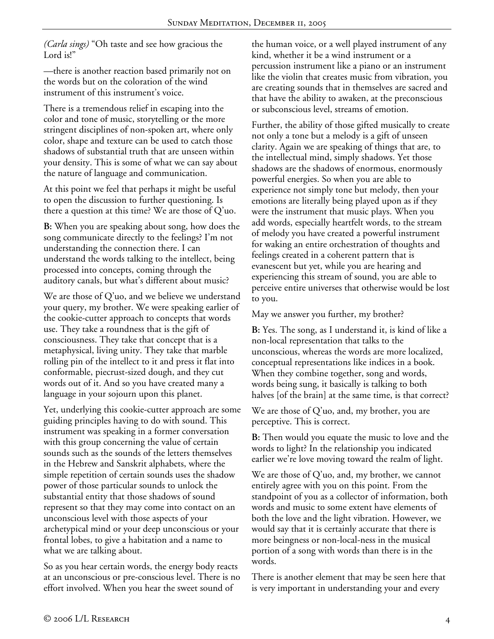*(Carla sings)* "Oh taste and see how gracious the Lord is!"

—there is another reaction based primarily not on the words but on the coloration of the wind instrument of this instrument's voice.

There is a tremendous relief in escaping into the color and tone of music, storytelling or the more stringent disciplines of non-spoken art, where only color, shape and texture can be used to catch those shadows of substantial truth that are unseen within your density. This is some of what we can say about the nature of language and communication.

At this point we feel that perhaps it might be useful to open the discussion to further questioning. Is there a question at this time? We are those of Q'uo.

**B:** When you are speaking about song, how does the song communicate directly to the feelings? I'm not understanding the connection there. I can understand the words talking to the intellect, being processed into concepts, coming through the auditory canals, but what's different about music?

We are those of Q'uo, and we believe we understand your query, my brother. We were speaking earlier of the cookie-cutter approach to concepts that words use. They take a roundness that is the gift of consciousness. They take that concept that is a metaphysical, living unity. They take that marble rolling pin of the intellect to it and press it flat into conformable, piecrust-sized dough, and they cut words out of it. And so you have created many a language in your sojourn upon this planet.

Yet, underlying this cookie-cutter approach are some guiding principles having to do with sound. This instrument was speaking in a former conversation with this group concerning the value of certain sounds such as the sounds of the letters themselves in the Hebrew and Sanskrit alphabets, where the simple repetition of certain sounds uses the shadow power of those particular sounds to unlock the substantial entity that those shadows of sound represent so that they may come into contact on an unconscious level with those aspects of your archetypical mind or your deep unconscious or your frontal lobes, to give a habitation and a name to what we are talking about.

So as you hear certain words, the energy body reacts at an unconscious or pre-conscious level. There is no effort involved. When you hear the sweet sound of

the human voice, or a well played instrument of any kind, whether it be a wind instrument or a percussion instrument like a piano or an instrument like the violin that creates music from vibration, you are creating sounds that in themselves are sacred and that have the ability to awaken, at the preconscious or subconscious level, streams of emotion.

Further, the ability of those gifted musically to create not only a tone but a melody is a gift of unseen clarity. Again we are speaking of things that are, to the intellectual mind, simply shadows. Yet those shadows are the shadows of enormous, enormously powerful energies. So when you are able to experience not simply tone but melody, then your emotions are literally being played upon as if they were the instrument that music plays. When you add words, especially heartfelt words, to the stream of melody you have created a powerful instrument for waking an entire orchestration of thoughts and feelings created in a coherent pattern that is evanescent but yet, while you are hearing and experiencing this stream of sound, you are able to perceive entire universes that otherwise would be lost to you.

May we answer you further, my brother?

**B:** Yes. The song, as I understand it, is kind of like a non-local representation that talks to the unconscious, whereas the words are more localized, conceptual representations like indices in a book. When they combine together, song and words, words being sung, it basically is talking to both halves [of the brain] at the same time, is that correct?

We are those of Q'uo, and, my brother, you are perceptive. This is correct.

**B:** Then would you equate the music to love and the words to light? In the relationship you indicated earlier we're love moving toward the realm of light.

We are those of Q'uo, and, my brother, we cannot entirely agree with you on this point. From the standpoint of you as a collector of information, both words and music to some extent have elements of both the love and the light vibration. However, we would say that it is certainly accurate that there is more beingness or non-local-ness in the musical portion of a song with words than there is in the words.

There is another element that may be seen here that is very important in understanding your and every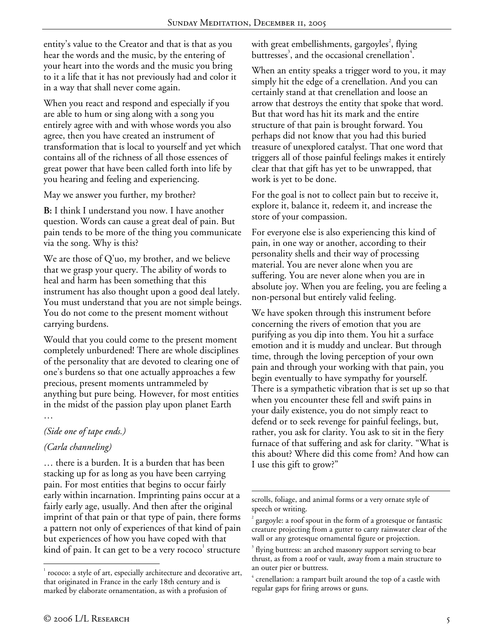entity's value to the Creator and that is that as you hear the words and the music, by the entering of your heart into the words and the music you bring to it a life that it has not previously had and color it in a way that shall never come again.

When you react and respond and especially if you are able to hum or sing along with a song you entirely agree with and with whose words you also agree, then you have created an instrument of transformation that is local to yourself and yet which contains all of the richness of all those essences of great power that have been called forth into life by you hearing and feeling and experiencing.

May we answer you further, my brother?

**B:** I think I understand you now. I have another question. Words can cause a great deal of pain. But pain tends to be more of the thing you communicate via the song. Why is this?

We are those of Q'uo, my brother, and we believe that we grasp your query. The ability of words to heal and harm has been something that this instrument has also thought upon a good deal lately. You must understand that you are not simple beings. You do not come to the present moment without carrying burdens.

Would that you could come to the present moment completely unburdened! There are whole disciplines of the personality that are devoted to clearing one of one's burdens so that one actually approaches a few precious, present moments untrammeled by anything but pure being. However, for most entities in the midst of the passion play upon planet Earth …

## *(Side one of tape ends.)*

## *(Carla channeling)*

… there is a burden. It is a burden that has been stacking up for as long as you have been carrying pain. For most entities that begins to occur fairly early within incarnation. Imprinting pains occur at a fairly early age, usually. And then after the original imprint of that pain or that type of pain, there forms a pattern not only of experiences of that kind of pain but experiences of how you have coped with that kind of pain. It can get to be a very rococo $^{\rm l}$  structure with great embellishments, gargoyles $^2$ , flying buttresses<sup>3</sup>, and the occasional crenellation<sup>4</sup>.

When an entity speaks a trigger word to you, it may simply hit the edge of a crenellation. And you can certainly stand at that crenellation and loose an arrow that destroys the entity that spoke that word. But that word has hit its mark and the entire structure of that pain is brought forward. You perhaps did not know that you had this buried treasure of unexplored catalyst. That one word that triggers all of those painful feelings makes it entirely clear that that gift has yet to be unwrapped, that work is yet to be done.

For the goal is not to collect pain but to receive it, explore it, balance it, redeem it, and increase the store of your compassion.

For everyone else is also experiencing this kind of pain, in one way or another, according to their personality shells and their way of processing material. You are never alone when you are suffering. You are never alone when you are in absolute joy. When you are feeling, you are feeling a non-personal but entirely valid feeling.

We have spoken through this instrument before concerning the rivers of emotion that you are purifying as you dip into them. You hit a surface emotion and it is muddy and unclear. But through time, through the loving perception of your own pain and through your working with that pain, you begin eventually to have sympathy for yourself. There is a sympathetic vibration that is set up so that when you encounter these fell and swift pains in your daily existence, you do not simply react to defend or to seek revenge for painful feelings, but, rather, you ask for clarity. You ask to sit in the fiery furnace of that suffering and ask for clarity. "What is this about? Where did this come from? And how can I use this gift to grow?"

<sup>1</sup> <sup>1</sup> rococo: a style of art, especially architecture and decorative art, that originated in France in the early 18th century and is marked by elaborate ornamentation, as with a profusion of

 $\overline{a}$ scrolls, foliage, and animal forms or a very ornate style of speech or writing.

<sup>2</sup> gargoyle: a roof spout in the form of a grotesque or fantastic creature projecting from a gutter to carry rainwater clear of the wall or any grotesque ornamental figure or projection.

<sup>&</sup>lt;sup>3</sup> flying buttress: an arched masonry support serving to bear thrust, as from a roof or vault, away from a main structure to an outer pier or buttress.

<sup>4</sup> crenellation: a rampart built around the top of a castle with regular gaps for firing arrows or guns.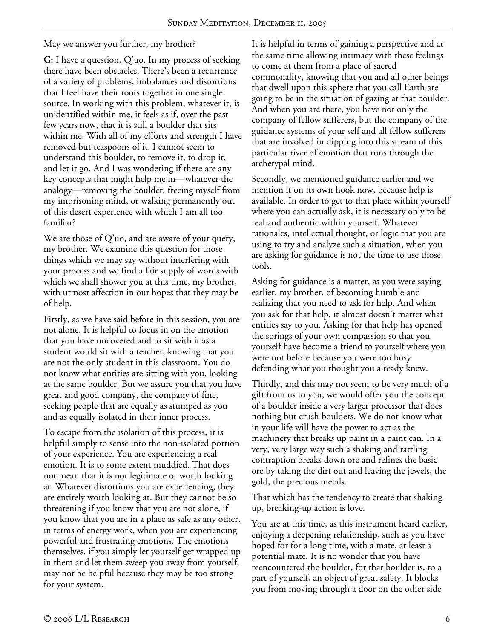May we answer you further, my brother?

**G:** I have a question, Q'uo. In my process of seeking there have been obstacles. There's been a recurrence of a variety of problems, imbalances and distortions that I feel have their roots together in one single source. In working with this problem, whatever it, is unidentified within me, it feels as if, over the past few years now, that it is still a boulder that sits within me. With all of my efforts and strength I have removed but teaspoons of it. I cannot seem to understand this boulder, to remove it, to drop it, and let it go. And I was wondering if there are any key concepts that might help me in—whatever the analogy—removing the boulder, freeing myself from my imprisoning mind, or walking permanently out of this desert experience with which I am all too familiar?

We are those of Q'uo, and are aware of your query, my brother. We examine this question for those things which we may say without interfering with your process and we find a fair supply of words with which we shall shower you at this time, my brother, with utmost affection in our hopes that they may be of help.

Firstly, as we have said before in this session, you are not alone. It is helpful to focus in on the emotion that you have uncovered and to sit with it as a student would sit with a teacher, knowing that you are not the only student in this classroom. You do not know what entities are sitting with you, looking at the same boulder. But we assure you that you have great and good company, the company of fine, seeking people that are equally as stumped as you and as equally isolated in their inner process.

To escape from the isolation of this process, it is helpful simply to sense into the non-isolated portion of your experience. You are experiencing a real emotion. It is to some extent muddied. That does not mean that it is not legitimate or worth looking at. Whatever distortions you are experiencing, they are entirely worth looking at. But they cannot be so threatening if you know that you are not alone, if you know that you are in a place as safe as any other, in terms of energy work, when you are experiencing powerful and frustrating emotions. The emotions themselves, if you simply let yourself get wrapped up in them and let them sweep you away from yourself, may not be helpful because they may be too strong for your system.

It is helpful in terms of gaining a perspective and at the same time allowing intimacy with these feelings to come at them from a place of sacred commonality, knowing that you and all other beings that dwell upon this sphere that you call Earth are going to be in the situation of gazing at that boulder. And when you are there, you have not only the company of fellow sufferers, but the company of the guidance systems of your self and all fellow sufferers that are involved in dipping into this stream of this particular river of emotion that runs through the archetypal mind.

Secondly, we mentioned guidance earlier and we mention it on its own hook now, because help is available. In order to get to that place within yourself where you can actually ask, it is necessary only to be real and authentic within yourself. Whatever rationales, intellectual thought, or logic that you are using to try and analyze such a situation, when you are asking for guidance is not the time to use those tools.

Asking for guidance is a matter, as you were saying earlier, my brother, of becoming humble and realizing that you need to ask for help. And when you ask for that help, it almost doesn't matter what entities say to you. Asking for that help has opened the springs of your own compassion so that you yourself have become a friend to yourself where you were not before because you were too busy defending what you thought you already knew.

Thirdly, and this may not seem to be very much of a gift from us to you, we would offer you the concept of a boulder inside a very larger processor that does nothing but crush boulders. We do not know what in your life will have the power to act as the machinery that breaks up paint in a paint can. In a very, very large way such a shaking and rattling contraption breaks down ore and refines the basic ore by taking the dirt out and leaving the jewels, the gold, the precious metals.

That which has the tendency to create that shakingup, breaking-up action is love.

You are at this time, as this instrument heard earlier, enjoying a deepening relationship, such as you have hoped for for a long time, with a mate, at least a potential mate. It is no wonder that you have reencountered the boulder, for that boulder is, to a part of yourself, an object of great safety. It blocks you from moving through a door on the other side